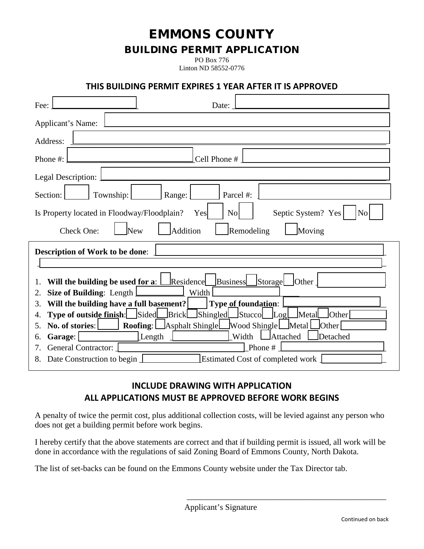EMMONS COUNTY

### BUILDING PERMIT APPLICATION

PO Box 776 Linton ND 58552-0776

#### **THIS BUILDING PERMIT EXPIRES 1 YEAR AFTER IT IS APPROVED**

| Fee:<br>Date:                                                                                                |  |  |  |
|--------------------------------------------------------------------------------------------------------------|--|--|--|
| Applicant's Name:                                                                                            |  |  |  |
| Address:                                                                                                     |  |  |  |
| Cell Phone #<br>Phone #:                                                                                     |  |  |  |
| Legal Description:                                                                                           |  |  |  |
| Parcel #:<br>Township:<br>Section:<br>Range:                                                                 |  |  |  |
| Septic System? Yes<br>Is Property located in Floodway/Floodplain?<br>N <sub>o</sub><br>Yes<br>N <sub>o</sub> |  |  |  |
| Addition<br>Remodeling<br>Check One:<br>New<br>Moving                                                        |  |  |  |
| <b>Description of Work to be done:</b>                                                                       |  |  |  |
|                                                                                                              |  |  |  |
| Storage<br>Will the building be used for a: $\Box$ Residence $\Box$<br><b>Business</b><br>Other<br>1.        |  |  |  |
| Width<br><b>Size of Building:</b> Length <b>I</b><br>2.                                                      |  |  |  |
| Will the building have a full basement?<br>Type of foundation:<br>3.                                         |  |  |  |
| Brick Shingled Stucco Log<br>Type of outside finish: Sided<br>Metal<br><b>Other</b><br>4.                    |  |  |  |
| No. of stories:<br><b>Roofing:</b> Asphalt Shingle<br>Wood Shingle Metal<br>Other<br>5.                      |  |  |  |
| Length<br>Width<br>Attached<br>Detached<br>Garage:<br>6.                                                     |  |  |  |
| <b>General Contractor:</b><br>Phone#                                                                         |  |  |  |
| <b>Estimated Cost of completed work</b><br>8. Date Construction to begin                                     |  |  |  |

#### **INCLUDE DRAWING WITH APPLICATION ALL APPLICATIONS MUST BE APPROVED BEFORE WORK BEGINS**

A penalty of twice the permit cost, plus additional collection costs, will be levied against any person who does not get a building permit before work begins.

I hereby certify that the above statements are correct and that if building permit is issued, all work will be done in accordance with the regulations of said Zoning Board of Emmons County, North Dakota.

The list of set-backs can be found on the Emmons County website under the Tax Director tab.

\_\_\_\_\_\_\_\_\_\_\_\_\_\_\_\_\_\_\_\_\_\_\_\_\_\_\_\_\_\_\_\_\_\_\_\_\_\_\_\_\_\_\_\_\_\_\_\_